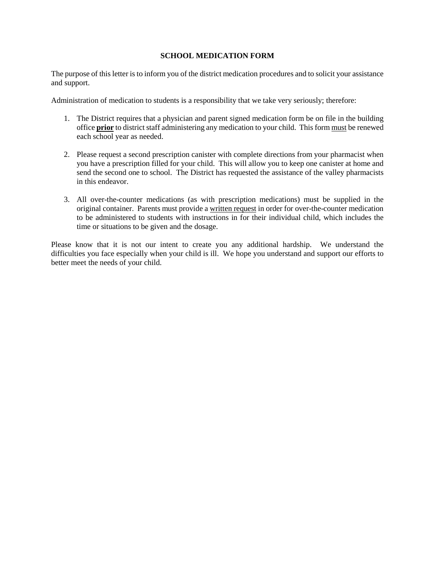## **SCHOOL MEDICATION FORM**

The purpose of this letter is to inform you of the district medication procedures and to solicit your assistance and support.

Administration of medication to students is a responsibility that we take very seriously; therefore:

- 1. The District requires that a physician and parent signed medication form be on file in the building office **prior** to district staff administering any medication to your child. This form must be renewed each school year as needed.
- 2. Please request a second prescription canister with complete directions from your pharmacist when you have a prescription filled for your child. This will allow you to keep one canister at home and send the second one to school. The District has requested the assistance of the valley pharmacists in this endeavor.
- 3. All over-the-counter medications (as with prescription medications) must be supplied in the original container. Parents must provide a written request in order for over-the-counter medication to be administered to students with instructions in for their individual child, which includes the time or situations to be given and the dosage.

Please know that it is not our intent to create you any additional hardship. We understand the difficulties you face especially when your child is ill. We hope you understand and support our efforts to better meet the needs of your child.